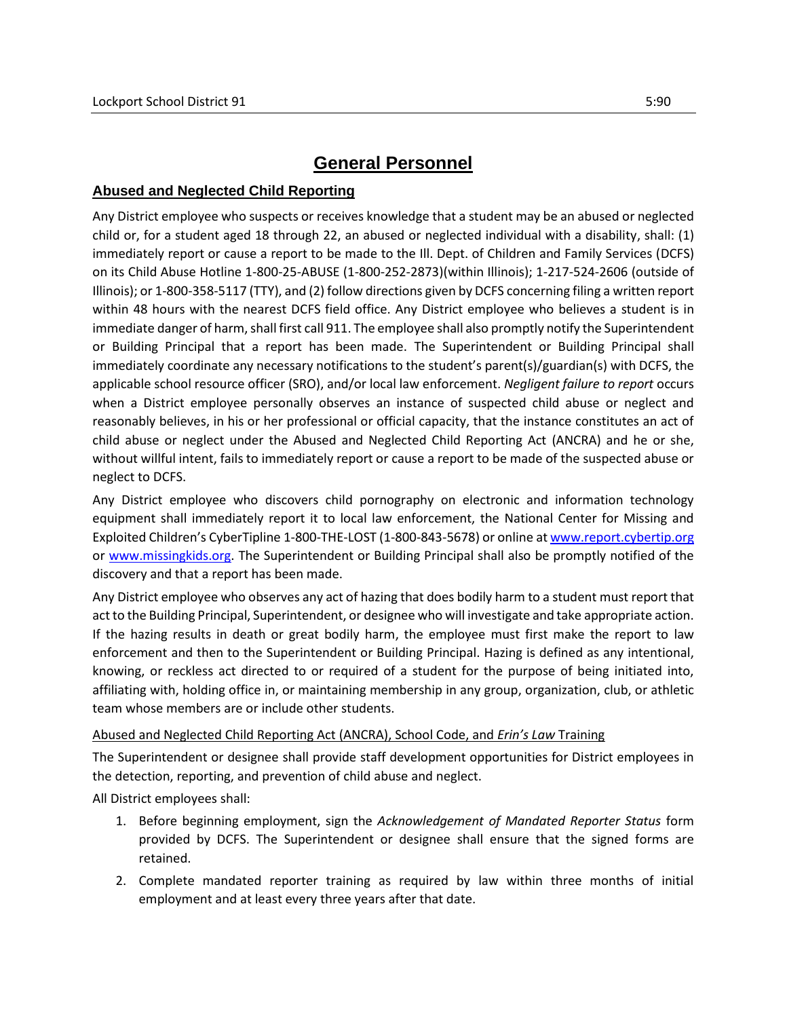# **General Personnel**

#### **Abused and Neglected Child Reporting**

Any District employee who suspects or receives knowledge that a student may be an abused or neglected child or, for a student aged 18 through 22, an abused or neglected individual with a disability, shall: (1) immediately report or cause a report to be made to the Ill. Dept. of Children and Family Services (DCFS) on its Child Abuse Hotline 1-800-25-ABUSE (1-800-252-2873)(within Illinois); 1-217-524-2606 (outside of Illinois); or 1-800-358-5117 (TTY), and (2) follow directions given by DCFS concerning filing a written report within 48 hours with the nearest DCFS field office. Any District employee who believes a student is in immediate danger of harm, shall first call 911. The employee shall also promptly notify the Superintendent or Building Principal that a report has been made. The Superintendent or Building Principal shall immediately coordinate any necessary notifications to the student's parent(s)/guardian(s) with DCFS, the applicable school resource officer (SRO), and/or local law enforcement. *Negligent failure to report* occurs when a District employee personally observes an instance of suspected child abuse or neglect and reasonably believes, in his or her professional or official capacity, that the instance constitutes an act of child abuse or neglect under the Abused and Neglected Child Reporting Act (ANCRA) and he or she, without willful intent, fails to immediately report or cause a report to be made of the suspected abuse or neglect to DCFS.

Any District employee who discovers child pornography on electronic and information technology equipment shall immediately report it to local law enforcement, the National Center for Missing and Exploited Children's CyberTipline 1-800-THE-LOST (1-800-843-5678) or online a[t www.report.cybertip.org](https://report.cybertip.org/) or [www.missingkids.org.](http://www.missingkids.org/) The Superintendent or Building Principal shall also be promptly notified of the discovery and that a report has been made.

Any District employee who observes any act of hazing that does bodily harm to a student must report that act to the Building Principal, Superintendent, or designee who will investigate and take appropriate action. If the hazing results in death or great bodily harm, the employee must first make the report to law enforcement and then to the Superintendent or Building Principal. Hazing is defined as any intentional, knowing, or reckless act directed to or required of a student for the purpose of being initiated into, affiliating with, holding office in, or maintaining membership in any group, organization, club, or athletic team whose members are or include other students.

#### Abused and Neglected Child Reporting Act (ANCRA), School Code, and *Erin's Law* Training

The Superintendent or designee shall provide staff development opportunities for District employees in the detection, reporting, and prevention of child abuse and neglect.

All District employees shall:

- 1. Before beginning employment, sign the *Acknowledgement of Mandated Reporter Status* form provided by DCFS. The Superintendent or designee shall ensure that the signed forms are retained.
- 2. Complete mandated reporter training as required by law within three months of initial employment and at least every three years after that date.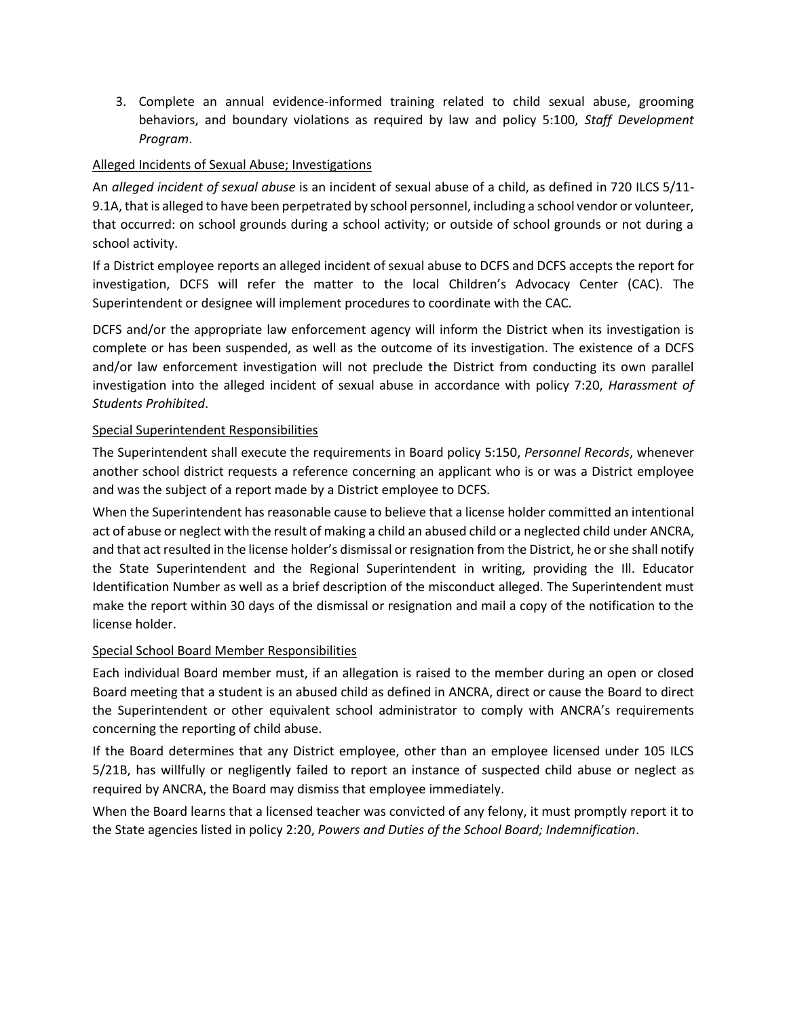3. Complete an annual evidence-informed training related to child sexual abuse, grooming behaviors, and boundary violations as required by law and policy 5:100, *Staff Development Program*.

## Alleged Incidents of Sexual Abuse; Investigations

An *alleged incident of sexual abuse* is an incident of sexual abuse of a child, as defined in 720 ILCS 5/11- 9.1A, that is alleged to have been perpetrated by school personnel, including a school vendor or volunteer, that occurred: on school grounds during a school activity; or outside of school grounds or not during a school activity.

If a District employee reports an alleged incident of sexual abuse to DCFS and DCFS accepts the report for investigation, DCFS will refer the matter to the local Children's Advocacy Center (CAC). The Superintendent or designee will implement procedures to coordinate with the CAC.

DCFS and/or the appropriate law enforcement agency will inform the District when its investigation is complete or has been suspended, as well as the outcome of its investigation. The existence of a DCFS and/or law enforcement investigation will not preclude the District from conducting its own parallel investigation into the alleged incident of sexual abuse in accordance with policy 7:20, *Harassment of Students Prohibited*.

### Special Superintendent Responsibilities

The Superintendent shall execute the requirements in Board policy 5:150, *Personnel Records*, whenever another school district requests a reference concerning an applicant who is or was a District employee and was the subject of a report made by a District employee to DCFS.

When the Superintendent has reasonable cause to believe that a license holder committed an intentional act of abuse or neglect with the result of making a child an abused child or a neglected child under ANCRA, and that act resulted in the license holder's dismissal or resignation from the District, he or she shall notify the State Superintendent and the Regional Superintendent in writing, providing the Ill. Educator Identification Number as well as a brief description of the misconduct alleged. The Superintendent must make the report within 30 days of the dismissal or resignation and mail a copy of the notification to the license holder.

### Special School Board Member Responsibilities

Each individual Board member must, if an allegation is raised to the member during an open or closed Board meeting that a student is an abused child as defined in ANCRA, direct or cause the Board to direct the Superintendent or other equivalent school administrator to comply with ANCRA's requirements concerning the reporting of child abuse.

If the Board determines that any District employee, other than an employee licensed under 105 ILCS 5/21B, has willfully or negligently failed to report an instance of suspected child abuse or neglect as required by ANCRA, the Board may dismiss that employee immediately.

When the Board learns that a licensed teacher was convicted of any felony, it must promptly report it to the State agencies listed in policy 2:20, *Powers and Duties of the School Board; Indemnification*.